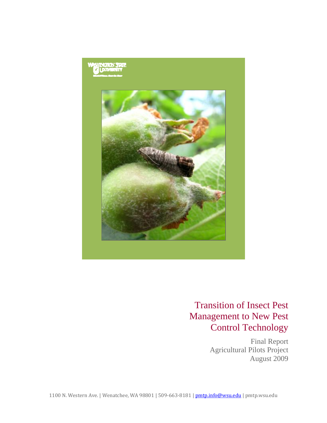

# Transition of Insect Pest Management to New Pest Control Technology

Final Report Agricultural Pilots Project August 2009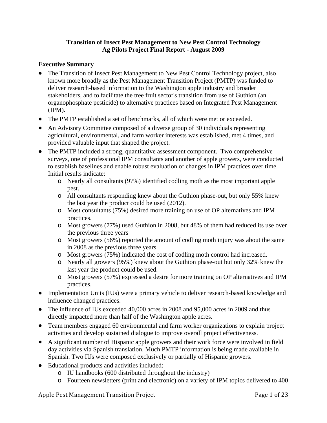# **Transition of Insect Pest Management to New Pest Control Technology Ag Pilots Project Final Report - August 2009**

# **Executive Summary**

- The Transition of Insect Pest Management to New Pest Control Technology project, also known more broadly as the Pest Management Transition Project (PMTP) was funded to deliver research-based information to the Washington apple industry and broader stakeholders, and to facilitate the tree fruit sector's transition from use of Guthion (an organophosphate pesticide) to alternative practices based on Integrated Pest Management (IPM).
- The PMTP established a set of benchmarks, all of which were met or exceeded.
- An Advisory Committee composed of a diverse group of 30 individuals representing agricultural, environmental, and farm worker interests was established, met 4 times, and provided valuable input that shaped the project.
- The PMTP included a strong, quantitative assessment component. Two comprehensive surveys, one of professional IPM consultants and another of apple growers, were conducted to establish baselines and enable robust evaluation of changes in IPM practices over time. Initial results indicate:
	- o Nearly all consultants (97%) identified codling moth as the most important apple pest.
	- o All consultants responding knew about the Guthion phase-out, but only 55% knew the last year the product could be used (2012).
	- o Most consultants (75%) desired more training on use of OP alternatives and IPM practices.
	- o Most growers (77%) used Guthion in 2008, but 48% of them had reduced its use over the previous three years
	- o Most growers (56%) reported the amount of codling moth injury was about the same in 2008 as the previous three years.
	- o Most growers (75%) indicated the cost of codling moth control had increased.
	- o Nearly all growers (95%) knew about the Guthion phase-out but only 32% knew the last year the product could be used.
	- o Most growers (57%) expressed a desire for more training on OP alternatives and IPM practices.
- Implementation Units (IUs) were a primary vehicle to deliver research-based knowledge and influence changed practices.
- The influence of IUs exceeded 40,000 acres in 2008 and 95,000 acres in 2009 and thus directly impacted more than half of the Washington apple acres.
- Team members engaged 60 environmental and farm worker organizations to explain project activities and develop sustained dialogue to improve overall project effectiveness.
- A significant number of Hispanic apple growers and their work force were involved in field day activities via Spanish translation. Much PMTP information is being made available in Spanish. Two IUs were composed exclusively or partially of Hispanic growers.
- Educational products and activities included:
	- o IU handbooks (600 distributed throughout the industry)
	- o Fourteen newsletters (print and electronic) on a variety of IPM topics delivered to 400

Apple Pest Management Transition Project  **Page 1 of 23** Page 1 of 23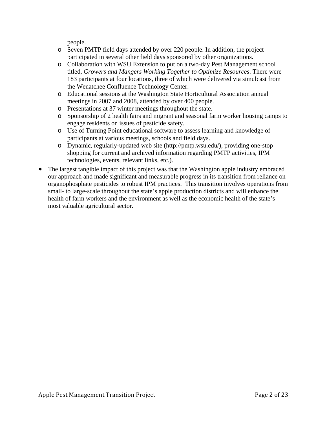people.

- o Seven PMTP field days attended by over 220 people. In addition, the project participated in several other field days sponsored by other organizations.
- o Collaboration with WSU Extension to put on a two-day Pest Management school titled, *Growers and Mangers Working Together to Optimize Resources*. There were 183 participants at four locations, three of which were delivered via simulcast from the Wenatchee Confluence Technology Center.
- o Educational sessions at the Washington State Horticultural Association annual meetings in 2007 and 2008, attended by over 400 people.
- o Presentations at 37 winter meetings throughout the state.
- o Sponsorship of 2 health fairs and migrant and seasonal farm worker housing camps to engage residents on issues of pesticide safety.
- o Use of Turning Point educational software to assess learning and knowledge of participants at various meetings, schools and field days.
- o Dynamic, regularly-updated web site (http://pmtp.wsu.edu/), providing one-stop shopping for current and archived information regarding PMTP activities, IPM technologies, events, relevant links, etc.).
- The largest tangible impact of this project was that the Washington apple industry embraced our approach and made significant and measurable progress in its transition from reliance on organophosphate pesticides to robust IPM practices. This transition involves operations from small- to large-scale throughout the state's apple production districts and will enhance the health of farm workers and the environment as well as the economic health of the state's most valuable agricultural sector.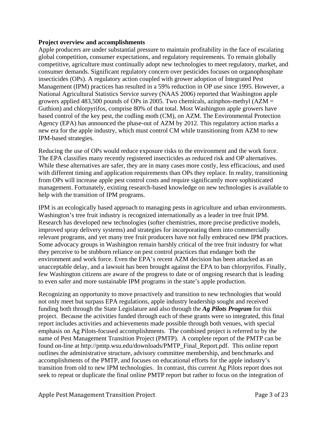#### **Project overview and accomplishments**

Apple producers are under substantial pressure to maintain profitability in the face of escalating global competition, consumer expectations, and regulatory requirements. To remain globally competitive, agriculture must continually adopt new technologies to meet regulatory, market, and consumer demands. Significant regulatory concern over pesticides focuses on organophosphate insecticides (OPs). A regulatory action coupled with grower adoption of Integrated Pest Management (IPM) practices has resulted in a 59% reduction in OP use since 1995. However, a National Agricultural Statistics Service survey (NAAS 2006) reported that Washington apple growers applied 483,500 pounds of OPs in 2005. Two chemicals, azinphos-methyl  $(AZM =$ Guthion) and chlorpyrifos, comprise 80% of that total. Most Washington apple growers have based control of the key pest, the codling moth (CM), on AZM. The Environmental Protection Agency (EPA) has announced the phase-out of AZM by 2012. This regulatory action marks a new era for the apple industry, which must control CM while transitioning from AZM to new IPM-based strategies.

Reducing the use of OPs would reduce exposure risks to the environment and the work force. The EPA classifies many recently registered insecticides as reduced risk and OP alternatives. While these alternatives are safer, they are in many cases more costly, less efficacious, and used with different timing and application requirements than OPs they replace. In reality, transitioning from OPs will increase apple pest control costs and require significantly more sophisticated management. Fortunately, existing research-based knowledge on new technologies is available to help with the transition of IPM programs.

IPM is an ecologically based approach to managing pests in agriculture and urban environments. Washington's tree fruit industry is recognized internationally as a leader in tree fruit IPM. Research has developed new technologies (softer chemistries, more precise predictive models, improved spray delivery systems) and strategies for incorporating them into commercially relevant programs, and yet many tree fruit producers have not fully embraced new IPM practices. Some advocacy groups in Washington remain harshly critical of the tree fruit industry for what they perceive to be stubborn reliance on pest control practices that endanger both the environment and work force. Even the EPA's recent AZM decision has been attacked as an unacceptable delay, and a lawsuit has been brought against the EPA to ban chlorpyrifos. Finally, few Washington citizens are aware of the progress to date or of ongoing research that is leading to even safer and more sustainable IPM programs in the state's apple production.

Recognizing an opportunity to move proactively and transition to new technologies that would not only meet but surpass EPA regulations, apple industry leadership sought and received funding both through the State Legislature and also through the *Ag Pilots Program* for this project. Because the activities funded through each of these grants were so integrated, this final report includes activities and achievements made possible through both venues, with special emphasis on Ag Pilots-focused accomplishments. The combined project is referred to by the name of Pest Management Transition Project (PMTP). A complete report of the PMTP can be found on-line at http://pmtp.wsu.edu/downloads/PMTP\_Final\_Report.pdf. This online report outlines the administrative structure, advisory committee membership, and benchmarks and accomplishments of the PMTP, and focuses on educational efforts for the apple industry's transition from old to new IPM technologies. In contrast, this current Ag Pilots report does not seek to repeat or duplicate the final online PMTP report but rather to focus on the integration of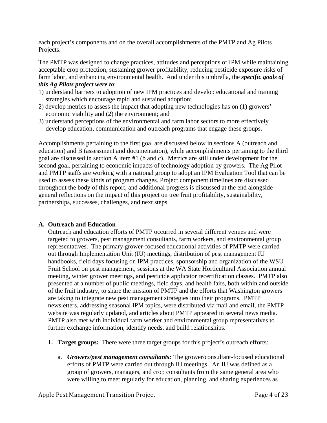each project's components and on the overall accomplishments of the PMTP and Ag Pilots Projects.

The PMTP was designed to change practices, attitudes and perceptions of IPM while maintaining acceptable crop protection, sustaining grower profitability, reducing pesticide exposure risks of farm labor, and enhancing environmental health. And under this umbrella, the *specific goals of this Ag Pilots project were to*:

- 1) understand barriers to adoption of new IPM practices and develop educational and training strategies which encourage rapid and sustained adoption;
- 2) develop metrics to assess the impact that adopting new technologies has on (1) growers' economic viability and (2) the environment; and
- 3) understand perceptions of the environmental and farm labor sectors to more effectively develop education, communication and outreach programs that engage these groups.

Accomplishments pertaining to the first goal are discussed below in sections A (outreach and education) and B (assessment and documentation), while accomplishments pertaining to the third goal are discussed in section A item #1 (b and c). Metrics are still under development for the second goal, pertaining to economic impacts of technology adoption by growers. The Ag Pilot and PMTP staffs are working with a national group to adopt an IPM Evaluation Tool that can be used to assess these kinds of program changes. Project component timelines are discussed throughout the body of this report, and additional progress is discussed at the end alongside general reflections on the impact of this project on tree fruit profitability, sustainability, partnerships, successes, challenges, and next steps.

# **A. Outreach and Education**

Outreach and education efforts of PMTP occurred in several different venues and were targeted to growers, pest management consultants, farm workers, and environmental group representatives. The primary grower-focused educational activities of PMTP were carried out through Implementation Unit (IU) meetings, distribution of pest management IU handbooks, field days focusing on IPM practices, sponsorship and organization of the WSU Fruit School on pest management, sessions at the WA State Horticultural Association annual meeting, winter grower meetings, and pesticide applicator recertification classes. PMTP also presented at a number of public meetings, field days, and health fairs, both within and outside of the fruit industry, to share the mission of PMTP and the efforts that Washington growers are taking to integrate new pest management strategies into their programs. PMTP newsletters, addressing seasonal IPM topics, were distributed via mail and email, the PMTP website was regularly updated, and articles about PMTP appeared in several news media. PMTP also met with individual farm worker and environmental group representatives to further exchange information, identify needs, and build relationships.

- **1. Target groups:** There were three target groups for this project's outreach efforts:
	- a. *Growers/pest management consultants:* The grower/consultant-focused educational efforts of PMTP were carried out through IU meetings. An IU was defined as a group of growers, managers, and crop consultants from the same general area who were willing to meet regularly for education, planning, and sharing experiences as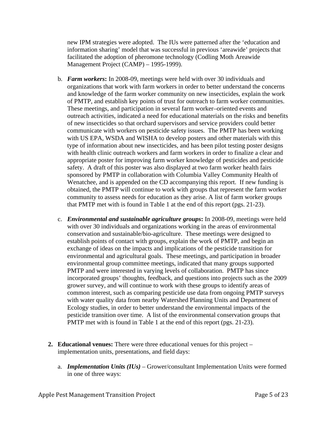new IPM strategies were adopted. The IUs were patterned after the 'education and information sharing' model that was successful in previous 'areawide' projects that facilitated the adoption of pheromone technology (Codling Moth Areawide Management Project (CAMP) – 1995-1999).

- b. *Farm workers***:** In 2008-09, meetings were held with over 30 individuals and organizations that work with farm workers in order to better understand the concerns and knowledge of the farm worker community on new insecticides, explain the work of PMTP, and establish key points of trust for outreach to farm worker communities. These meetings, and participation in several farm worker–oriented events and outreach activities, indicated a need for educational materials on the risks and benefits of new insecticides so that orchard supervisors and service providers could better communicate with workers on pesticide safety issues. The PMTP has been working with US EPA, WSDA and WISHA to develop posters and other materials with this type of information about new insecticides, and has been pilot testing poster designs with health clinic outreach workers and farm workers in order to finalize a clear and appropriate poster for improving farm worker knowledge of pesticides and pesticide safety. A draft of this poster was also displayed at two farm worker health fairs sponsored by PMTP in collaboration with Columbia Valley Community Health of Wenatchee, and is appended on the CD accompanying this report. If new funding is obtained, the PMTP will continue to work with groups that represent the farm worker community to assess needs for education as they arise. A list of farm worker groups that PMTP met with is found in Table 1 at the end of this report (pgs. 21-23).
- c. *Environmental and sustainable agriculture groups***:** In 2008-09, meetings were held with over 30 individuals and organizations working in the areas of environmental conservation and sustainable/bio-agriculture. These meetings were designed to establish points of contact with groups, explain the work of PMTP, and begin an exchange of ideas on the impacts and implications of the pesticide transition for environmental and agricultural goals. These meetings, and participation in broader environmental group committee meetings, indicated that many groups supported PMTP and were interested in varying levels of collaboration. PMTP has since incorporated groups' thoughts, feedback, and questions into projects such as the 2009 grower survey, and will continue to work with these groups to identify areas of common interest, such as comparing pesticide use data from ongoing PMTP surveys with water quality data from nearby Watershed Planning Units and Department of Ecology studies, in order to better understand the environmental impacts of the pesticide transition over time. A list of the environmental conservation groups that PMTP met with is found in Table 1 at the end of this report (pgs. 21-23).
- **2. Educational venues:** There were three educational venues for this project implementation units, presentations, and field days:
	- a. *Implementation Units (IUs)* Grower/consultant Implementation Units were formed in one of three ways: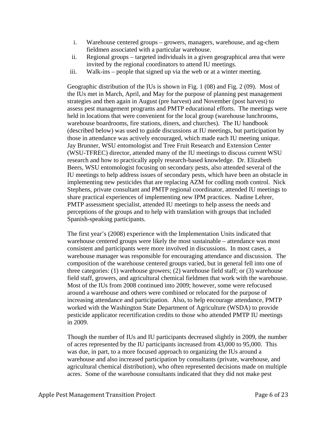- i. Warehouse centered groups growers, managers, warehouse, and ag-chem fieldmen associated with a particular warehouse.
- ii. Regional groups targeted individuals in a given geographical area that were invited by the regional coordinators to attend IU meetings.
- iii. Walk-ins people that signed up via the web or at a winter meeting.

Geographic distribution of the IUs is shown in Fig. 1 (08) and Fig. 2 (09). Most of the IUs met in March, April, and May for the purpose of planning pest management strategies and then again in August (pre harvest) and November (post harvest) to assess pest management programs and PMTP educational efforts. The meetings were held in locations that were convenient for the local group (warehouse lunchrooms, warehouse boardrooms, fire stations, diners, and churches). The IU handbook (described below) was used to guide discussions at IU meetings, but participation by those in attendance was actively encouraged, which made each IU meeting unique. Jay Brunner, WSU entomologist and Tree Fruit Research and Extension Center (WSU-TFREC) director, attended many of the IU meetings to discuss current WSU research and how to practically apply research-based knowledge. Dr. Elizabeth Beers, WSU entomologist focusing on secondary pests, also attended several of the IU meetings to help address issues of secondary pests, which have been an obstacle in implementing new pesticides that are replacing AZM for codling moth control. Nick Stephens, private consultant and PMTP regional coordinator, attended IU meetings to share practical experiences of implementing new IPM practices. Nadine Lehrer, PMTP assessment specialist, attended IU meetings to help assess the needs and perceptions of the groups and to help with translation with groups that included Spanish-speaking participants.

The first year's (2008) experience with the Implementation Units indicated that warehouse centered groups were likely the most sustainable – attendance was most consistent and participants were more involved in discussions. In most cases, a warehouse manager was responsible for encouraging attendance and discussion. The composition of the warehouse centered groups varied, but in general fell into one of three categories: (1) warehouse growers; (2) warehouse field staff; or (3) warehouse field staff, growers, and agricultural chemical fieldmen that work with the warehouse. Most of the IUs from 2008 continued into 2009; however, some were refocused around a warehouse and others were combined or relocated for the purpose of increasing attendance and participation. Also, to help encourage attendance, PMTP worked with the Washington State Department of Agriculture (WSDA) to provide pesticide applicator recertification credits to those who attended PMTP IU meetings in 2009.

Though the number of IUs and IU participants decreased slightly in 2009, the number of acres represented by the IU participants increased from 43,000 to 95,000. This was due, in part, to a more focused approach to organizing the IUs around a warehouse and also increased participation by consultants (private, warehouse, and agricultural chemical distribution), who often represented decisions made on multiple acres. Some of the warehouse consultants indicated that they did not make pest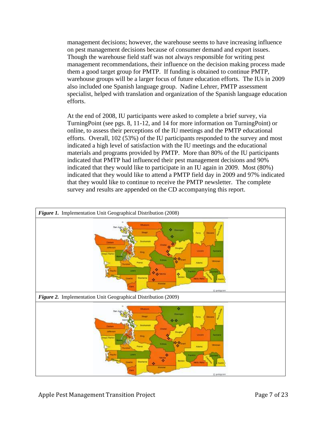management decisions; however, the warehouse seems to have increasing influence on pest management decisions because of consumer demand and export issues. Though the warehouse field staff was not always responsible for writing pest management recommendations, their influence on the decision making process made them a good target group for PMTP. If funding is obtained to continue PMTP, warehouse groups will be a larger focus of future education efforts. The IUs in 2009 also included one Spanish language group. Nadine Lehrer, PMTP assessment specialist, helped with translation and organization of the Spanish language education efforts.

At the end of 2008, IU participants were asked to complete a brief survey, via TurningPoint (see pgs. 8, 11-12, and 14 for more information on TurningPoint) or online, to assess their perceptions of the IU meetings and the PMTP educational efforts. Overall, 102 (53%) of the IU participants responded to the survey and most indicated a high level of satisfaction with the IU meetings and the educational materials and programs provided by PMTP. More than 80% of the IU participants indicated that PMTP had influenced their pest management decisions and 90% indicated that they would like to participate in an IU again in 2009. Most (80%) indicated that they would like to attend a PMTP field day in 2009 and 97% indicated that they would like to continue to receive the PMTP newsletter. The complete survey and results are appended on the CD accompanying this report.

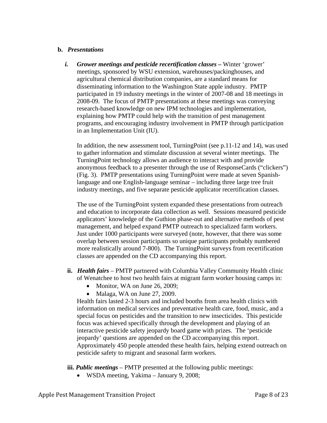#### **b.** *Presentations*

*i.* Grower meetings and pesticide recertification classes – Winter 'grower' meetings, sponsored by WSU extension, warehouses/packinghouses, and agricultural chemical distribution companies, are a standard means for disseminating information to the Washington State apple industry. PMTP participated in 19 industry meetings in the winter of 2007-08 and 18 meetings in 2008-09. The focus of PMTP presentations at these meetings was conveying research-based knowledge on new IPM technologies and implementation, explaining how PMTP could help with the transition of pest management programs, and encouraging industry involvement in PMTP through participation in an Implementation Unit (IU).

In addition, the new assessment tool, TurningPoint (see p.11-12 and 14), was used to gather information and stimulate discussion at several winter meetings. The TurningPoint technology allows an audience to interact with and provide anonymous feedback to a presenter through the use of ResponseCards ("clickers") (Fig. 3). PMTP presentations using TurningPoint were made at seven Spanishlanguage and one English-language seminar – including three large tree fruit industry meetings, and five separate pesticide applicator recertification classes.

The use of the TurningPoint system expanded these presentations from outreach and education to incorporate data collection as well. Sessions measured pesticide applicators' knowledge of the Guthion phase-out and alternative methods of pest management, and helped expand PMTP outreach to specialized farm workers. Just under 1000 participants were surveyed (note, however, that there was some overlap between session participants so unique participants probably numbered more realistically around 7-800). The TurningPoint surveys from recertification classes are appended on the CD accompanying this report.

- **ii.** *Health fairs* PMTP partnered with Columbia Valley Community Health clinic of Wenatchee to host two health fairs at migrant farm worker housing camps in:
	- Monitor, WA on June 26, 2009;
	- Malaga, WA on June 27, 2009.

Health fairs lasted 2-3 hours and included booths from area health clinics with information on medical services and preventative health care, food, music, and a special focus on pesticides and the transition to new insecticides. This pesticide focus was achieved specifically through the development and playing of an interactive pesticide safety jeopardy board game with prizes. The 'pesticide jeopardy' questions are appended on the CD accompanying this report. Approximately 450 people attended these health fairs, helping extend outreach on pesticide safety to migrant and seasonal farm workers.

**iii.** *Public meetings* – PMTP presented at the following public meetings:

• WSDA meeting, Yakima – January 9, 2008;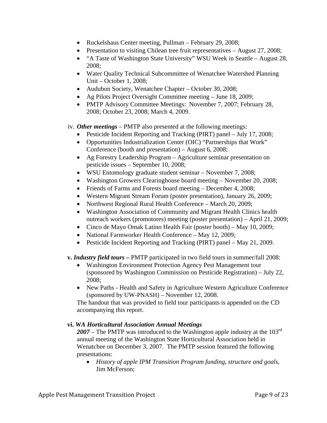- Ruckelshaus Center meeting, Pullman February 29, 2008;
- Presentation to visiting Chilean tree fruit representatives August 27, 2008;
- "A Taste of Washington State University" WSU Week in Seattle August 28, 2008;
- Water Quality Technical Subcommittee of Wenatchee Watershed Planning Unit – October 1, 2008;
- Audubon Society, Wenatchee Chapter October 30, 2008;
- Ag Pilots Project Oversight Committee meeting June 18, 2009;
- PMTP Advisory Committee Meetings: November 7, 2007; February 28, 2008; October 23, 2008; March 4, 2009.

iv. *Other meetings* – PMTP also presented at the following meetings:

- Pesticide Incident Reporting and Tracking (PIRT) panel July 17, 2008;
- Opportunities Industrialization Center (OIC) "Partnerships that Work" Conference (booth and presentation) – August 6, 2008;
- Ag Forestry Leadership Program Agriculture seminar presentation on pesticide issues – September 10, 2008;
- WSU Entomology graduate student seminar November 7, 2008;
- Washington Growers Clearinghouse board meeting November 20, 2008;
- Friends of Farms and Forests board meeting December 4, 2008;
- Western Migrant Stream Forum (poster presentation), January 26, 2009;
- Northwest Regional Rural Health Conference March 20, 2009;
- Washington Association of Community and Migrant Health Clinics health outreach workers (promotores) meeting (poster presentation) – April 21, 2009;
- Cinco de Mayo Omak Latino Health Fair (poster booth) May 10, 2009;
- National Farmworker Health Conference May 12, 2009;
- Pesticide Incident Reporting and Tracking (PIRT) panel May 21, 2009.

# **v.** *Industry field tours –* PMTP participated in two field tours in summer/fall 2008:

- Washington Environment Protection Agency Pest Management tour (sponsored by Washington Commission on Pesticide Registration) – July 22, 2008;
- New Paths Health and Safety in Agriculture Western Agriculture Conference (sponsored by UW-PNASH) – November 12, 2008.

The handout that was provided to field tour participants is appended on the CD accompanying this report.

# **vi.** *WA Horticultural Association Annual Meetings*

2007 – The PMTP was introduced to the Washington apple industry at the 103<sup>rd</sup> annual meeting of the Washington State Horticultural Association held in Wenatchee on December 3, 2007. The PMTP session featured the following presentations:

• *History of apple IPM Transition Program funding, structure and goals*, Jim McFerson;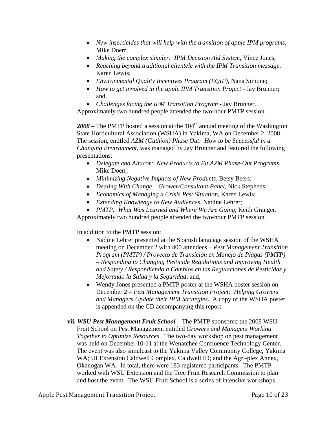- *New insecticides that will help with the transition of apple IPM programs*, Mike Doerr;
- *Making the complex simpler: IPM Decision Aid System*, Vince Jones;
- *Reaching beyond traditional clientele with the IPM Transition message*, Karen Lewis;
- *Environmental Quality Incentives Program (EQIP),* Nana Simone;
- *How to get involved in the apple IPM Transition Project* Jay Brunner; and,
- *Challenges facing the IPM Transition Program* Jay Brunner.

Approximately two hundred people attended the two-hour PMTP session.

 $2008$  – The PMTP hosted a session at the  $104<sup>th</sup>$  annual meeting of the Washington State Horticultural Association (WSHA) in Yakima, WA on December 2, 2008. The session, entitled *AZM (Guthion) Phase Out: How to be Successful in a Changing Environment*, was managed by Jay Brunner and featured the following presentations:

- *Delegate and Altacor: New Products to Fit AZM Phase-Out Programs*, Mike Doerr;
- *Minimizing Negative Impacts of New Products*, Betsy Beers;
- *Dealing With Change Grower/Consultant Panel*, Nick Stephens;
- *Economics of Managing a Crisis Pest Situation*, Karen Lewis;
- *Extending Knowledge to New Audiences*, Nadine Lehrer;
- *PMTP: What Was Learned and Where We Are Going*, Keith Granger.

Approximately two hundred people attended the two-hour PMTP session.

In addition to the PMTP session:

- Nadine Lehrer presented at the Spanish language session of the WSHA meeting on December 2 with 400 attendees – *Pest Management Transition Program (PMTP) / Proyecto de Transición en Manejo de Plagas (PMTP) – Responding to Changing Pesticide Regulations and Improving Health and Safety / Respondiendo a Cambios en las Regulaciones de Pesticidas y Mejorando la Salud y la Seguridad*; and,
- Wendy Jones presented a PMTP poster at the WSHA poster session on December 2 – *Pest Management Transition Project: Helping Growers and Managers Update their IPM Strategies*. A copy of the WSHA poster is appended on the CD accompanying this report.
- **vii.** *WSU Pest Management Fruit School* The PMTP sponsored the 2008 WSU Fruit School on Pest Management entitled *Growers and Managers Working Together to Optimize Resources*. The two-day workshop on pest management was held on December 10-11 at the Wenatchee Confluence Technology Center. The event was also simulcast to the Yakima Valley Community College, Yakima WA; UI Extension Caldwell Complex, Caldwell ID; and the Agri-plex Annex, Okanogan WA. In total, there were 183 registered participants. The PMTP worked with WSU Extension and the Tree Fruit Research Commission to plan and host the event. The WSU Fruit School is a series of intensive workshops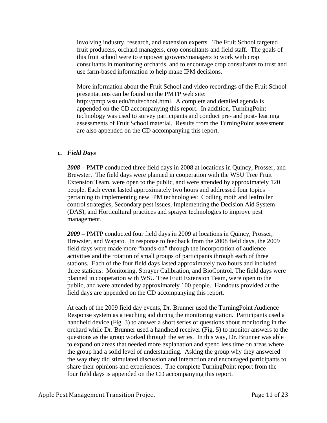involving industry, research, and extension experts. The Fruit School targeted fruit producers, orchard managers, crop consultants and field staff. The goals of this fruit school were to empower growers/managers to work with crop consultants in monitoring orchards, and to encourage crop consultants to trust and use farm-based information to help make IPM decisions.

More information about the Fruit School and video recordings of the Fruit School presentations can be found on the PMTP web site: <http://pmtp.wsu.edu/fruitschool.html>. A complete and detailed agenda is appended on the CD accompanying this report. In addition, TurningPoint technology was used to survey participants and conduct pre- and post- learning assessments of Fruit School material. Results from the TurningPoint assessment are also appended on the CD accompanying this report.

#### *c. Field Days*

*2008 –* PMTP conducted three field days in 2008 at locations in Quincy, Prosser, and Brewster. The field days were planned in cooperation with the WSU Tree Fruit Extension Team, were open to the public, and were attended by approximately 120 people. Each event lasted approximately two hours and addressed four topics pertaining to implementing new IPM technologies: Codling moth and leafroller control strategies, Secondary pest issues, Implementing the Decision Aid System (DAS), and Horticultural practices and sprayer technologies to improve pest management.

*2009 –* PMTP conducted four field days in 2009 at locations in Quincy, Prosser, Brewster, and Wapato. In response to feedback from the 2008 field days, the 2009 field days were made more "hands-on" through the incorporation of audience activities and the rotation of small groups of participants through each of three stations. Each of the four field days lasted approximately two hours and included three stations: Monitoring, Sprayer Calibration, and BioControl. The field days were planned in cooperation with WSU Tree Fruit Extension Team, were open to the public, and were attended by approximately 100 people. Handouts provided at the field days are appended on the CD accompanying this report.

At each of the 2009 field day events, Dr. Brunner used the TurningPoint Audience Response system as a teaching aid during the monitoring station. Participants used a handheld device (Fig. 3) to answer a short series of questions about monitoring in the orchard while Dr. Brunner used a handheld receiver (Fig. 5) to monitor answers to the questions as the group worked through the series. In this way, Dr. Brunner was able to expand on areas that needed more explanation and spend less time on areas where the group had a solid level of understanding. Asking the group why they answered the way they did stimulated discussion and interaction and encouraged participants to share their opinions and experiences. The complete TurningPoint report from the four field days is appended on the CD accompanying this report.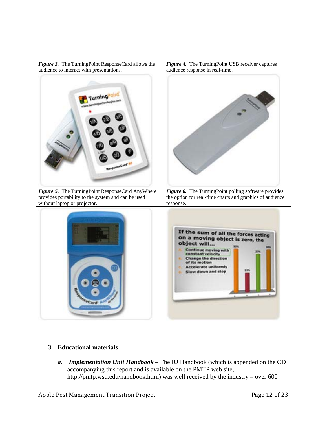

# **3. Educational materials**

*a. Implementation Unit Handbook* – The IU Handbook (which is appended on the CD accompanying this report and is available on the PMTP web site, http://pmtp.wsu.edu/handbook.html) was well received by the industry – over 600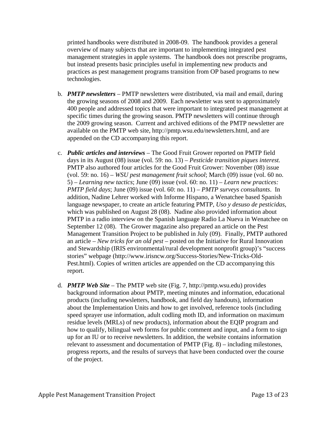printed handbooks were distributed in 2008-09. The handbook provides a general overview of many subjects that are important to implementing integrated pest management strategies in apple systems. The handbook does not prescribe programs, but instead presents basic principles useful in implementing new products and practices as pest management programs transition from OP based programs to new technologies.

- b. *PMTP newsletters*  PMTP newsletters were distributed, via mail and email, during the growing seasons of 2008 and 2009. Each newsletter was sent to approximately 400 people and addressed topics that were important to integrated pest management at specific times during the growing season. PMTP newsletters will continue through the 2009 growing season. Current and archived editions of the PMTP newsletter are available on the PMTP web site,<http://pmtp.wsu.edu/newsletters.html>, and are appended on the CD accompanying this report.
- c. *Public articles and interviews* The Good Fruit Grower reported on PMTP field days in its August (08) issue (vol. 59: no. 13) – *Pesticide transition piques interest.*  PMTP also authored four articles for the Good Fruit Grower: November (08) issue (vol. 59: no. 16) – *WSU pest management fruit school*; March (09) issue (vol. 60 no. 5) – *Learning new tactics*; June (09) issue (vol. 60: no. 11) – *Learn new practices: PMTP field days*; June (09) issue (vol. 60: no. 11) – *PMTP surveys consultants*. In addition, Nadine Lehrer worked with Informe Hispano, a Wenatchee based Spanish language newspaper, to create an article featuring PMTP, *Uso y desuso de pesticidas*, which was published on August 28 (08). Nadine also provided information about PMTP in a radio interview on the Spanish language Radio La Nueva in Wenatchee on September 12 (08). The Grower magazine also prepared an article on the Pest Management Transition Project to be published in July (09). Finally, PMTP authored an article – *New tricks for an old pest –* posted on the Initiative for Rural Innovation and Stewardship (IRIS environmental/rural development nonprofit group)'s "success stories" webpage (http://www.irisncw.org/Success-Stories/New-Tricks-Old-Pest.html). Copies of written articles are appended on the CD accompanying this report.
- d. *PMTP Web Site* The PMTP web site (Fig. 7, [http://pmtp.wsu.edu](http://pmtp.wsu.edu/)) provides background information about PMTP, meeting minutes and information, educational products (including newsletters, handbook, and field day handouts), information about the Implementation Units and how to get involved, reference tools (including speed sprayer use information, adult codling moth ID, and information on maximum residue levels (MRLs) of new products), information about the EQIP program and how to qualify, bilingual web forms for public comment and input, and a form to sign up for an IU or to receive newsletters. In addition, the website contains information relevant to assessment and documentation of PMTP (Fig. 8) – including milestones, progress reports, and the results of surveys that have been conducted over the course of the project.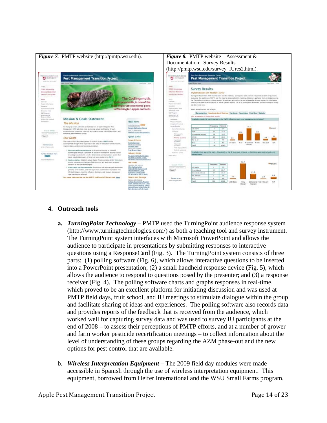

# **4. Outreach tools**

- **a.** *TurningPoint Technology* PMTP used the TurningPoint audience response system (http://www.turningtechnologies.com/) as both a teaching tool and survey instrument. The TurningPoint system interfaces with Microsoft PowerPoint and allows the audience to participate in presentations by submitting responses to interactive questions using a ResponseCard (Fig. 3). The TurningPoint system consists of three parts: (1) polling software (Fig. 6), which allows interactive questions to be inserted into a PowerPoint presentation; (2) a small handheld response device (Fig. 5), which allows the audience to respond to questions posed by the presenter; and (3) a response receiver (Fig. 4). The polling software charts and graphs responses in real-time, which proved to be an excellent platform for initiating discussion and was used at PMTP field days, fruit school, and IU meetings to stimulate dialogue within the group and facilitate sharing of ideas and experiences. The polling software also records data and provides reports of the feedback that is received from the audience, which worked well for capturing survey data and was used to survey IU participants at the end of 2008 – to assess their perceptions of PMTP efforts, and at a number of grower and farm worker pesticide recertification meetings – to collect information about the level of understanding of these groups regarding the AZM phase-out and the new options for pest control that are available.
- b. *Wireless Interpretation Equipment* The 2009 field day modules were made accessible in Spanish through the use of wireless interpretation equipment. This equipment, borrowed from Heifer International and the WSU Small Farms program,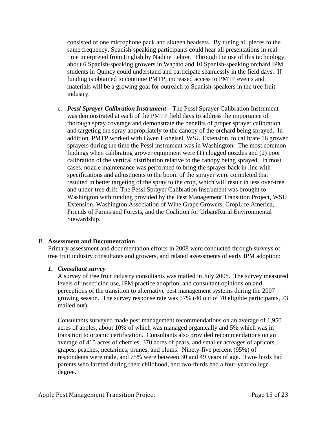consisted of one microphone pack and sixteen headsets. By tuning all pieces to the same frequency, Spanish-speaking participants could hear all presentations in real time interpreted from English by Nadine Lehrer. Through the use of this technology, about 6 Spanish-speaking growers in Wapato and 10 Spanish-speaking orchard IPM students in Quincy could understand and participate seamlessly in the field days. If funding is obtained to continue PMTP, increased access to PMTP events and materials will be a growing goal for outreach to Spanish-speakers in the tree fruit industry.

c. *Pessl Sprayer Calibration Instrument –* The Pessl Sprayer Calibration Instrument was demonstrated at each of the PMTP field days to address the importance of thorough spray coverage and demonstrate the benefits of proper sprayer calibration and targeting the spray appropriately to the canopy of the orchard being sprayed. In addition, PMTP worked with Gwen Hoheisel, WSU Extension, to calibrate 16 grower sprayers during the time the Pessl instrument was in Washington. The most common findings when calibrating grower equipment were (1) clogged nozzles and (2) poor calibration of the vertical distribution relative to the canopy being sprayed. In most cases, nozzle maintenance was performed to bring the sprayer back in line with specifications and adjustments to the boom of the sprayer were completed that resulted in better targeting of the spray to the crop, which will result in less over-tree and under-tree drift. The Pessl Sprayer Calibration Instrument was brought to Washington with funding provided by the Pest Management Transition Project, WSU Extension, Washington Association of Wine Grape Growers, CropLife America, Friends of Farms and Forests, and the Coalition for Urban/Rural Environmental Stewardship.

# B. **Assessment and Documentation**

Primary assessment and documentation efforts in 2008 were conducted through surveys of tree fruit industry consultants and growers, and related assessments of early IPM adoption:

# *1. Consultant survey*

A survey of tree fruit industry consultants was mailed in July 2008. The survey measured levels of insecticide use, IPM practice adoption, and consultant opinions on and perceptions of the transition to alternative pest management systems during the 2007 growing season. The survey response rate was 57% (40 out of 70 eligible participants, 73 mailed out).

Consultants surveyed made pest management recommendations on an average of 1,950 acres of apples, about 10% of which was managed organically and 5% which was in transition to organic certification. Consultants also provided recommendations on an average of 415 acres of cherries, 370 acres of pears, and smaller acreages of apricots, grapes, peaches, nectarines, prunes, and plums. Ninety-five percent (95%) of respondents were male, and 75% were between 30 and 49 years of age. Two-thirds had parents who farmed during their childhood, and two-thirds had a four-year college degree.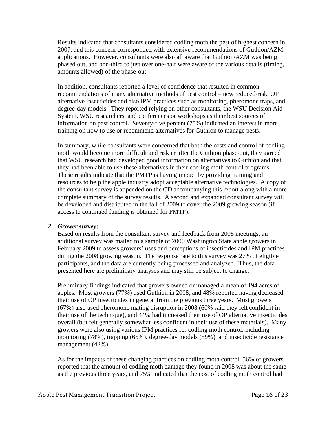Results indicated that consultants considered codling moth the pest of highest concern in 2007, and this concern corresponded with extensive recommendations of Guthion/AZM applications. However, consultants were also all aware that Guthion/AZM was being phased out, and one-third to just over one-half were aware of the various details (timing, amounts allowed) of the phase-out.

In addition, consultants reported a level of confidence that resulted in common recommendations of many alternative methods of pest control – new reduced-risk, OP alternative insecticides and also IPM practices such as monitoring, pheromone traps, and degree-day models. They reported relying on other consultants, the WSU Decision Aid System, WSU researchers, and conferences or workshops as their best sources of information on pest control. Seventy-five percent (75%) indicated an interest in more training on how to use or recommend alternatives for Guthion to manage pests.

In summary, while consultants were concerned that both the costs and control of codling moth would become more difficult and riskier after the Guthion phase-out, they agreed that WSU research had developed good information on alternatives to Guthion and that they had been able to use these alternatives in their codling moth control programs. These results indicate that the PMTP is having impact by providing training and resources to help the apple industry adopt acceptable alternative technologies. A copy of the consultant survey is appended on the CD accompanying this report along with a more complete summary of the survey results. A second and expanded consultant survey will be developed and distributed in the fall of 2009 to cover the 2009 growing season (if access to continued funding is obtained for PMTP).

# *2. Grower survey***:**

Based on results from the consultant survey and feedback from 2008 meetings, an additional survey was mailed to a sample of 2000 Washington State apple growers in February 2009 to assess growers' uses and perceptions of insecticides and IPM practices during the 2008 growing season. The response rate to this survey was 27% of eligible participants, and the data are currently being processed and analyzed. Thus, the data presented here are preliminary analyses and may still be subject to change.

Preliminary findings indicated that growers owned or managed a mean of 194 acres of apples. Most growers (77%) used Guthion in 2008, and 48% reported having decreased their use of OP insecticides in general from the previous three years. Most growers (67%) also used pheromone mating disruption in 2008 (60% said they felt confident in their use of the technique), and 44% had increased their use of OP alternative insecticides overall (but felt generally somewhat less confident in their use of these materials). Many growers were also using various IPM practices for codling moth control, including monitoring (78%), trapping (65%), degree-day models (59%), and insecticide resistance management (42%).

As for the impacts of these changing practices on codling moth control, 56% of growers reported that the amount of codling moth damage they found in 2008 was about the same as the previous three years, and 75% indicated that the cost of codling moth control had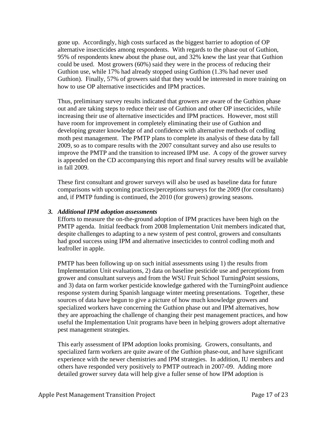gone up. Accordingly, high costs surfaced as the biggest barrier to adoption of OP alternative insecticides among respondents. With regards to the phase out of Guthion, 95% of respondents knew about the phase out, and 32% knew the last year that Guthion could be used. Most growers (60%) said they were in the process of reducing their Guthion use, while 17% had already stopped using Guthion (1.3% had never used Guthion). Finally, 57% of growers said that they would be interested in more training on how to use OP alternative insecticides and IPM practices.

Thus, preliminary survey results indicated that growers are aware of the Guthion phase out and are taking steps to reduce their use of Guthion and other OP insecticides, while increasing their use of alternative insecticides and IPM practices. However, most still have room for improvement in completely eliminating their use of Guthion and developing greater knowledge of and confidence with alternative methods of codling moth pest management. The PMTP plans to complete its analysis of these data by fall 2009, so as to compare results with the 2007 consultant survey and also use results to improve the PMTP and the transition to increased IPM use. A copy of the grower survey is appended on the CD accompanying this report and final survey results will be available in fall 2009.

These first consultant and grower surveys will also be used as baseline data for future comparisons with upcoming practices/perceptions surveys for the 2009 (for consultants) and, if PMTP funding is continued, the 2010 (for growers) growing seasons.

#### *3. Additional IPM adoption assessments*

Efforts to measure the on-the-ground adoption of IPM practices have been high on the PMTP agenda. Initial feedback from 2008 Implementation Unit members indicated that, despite challenges to adapting to a new system of pest control, growers and consultants had good success using IPM and alternative insecticides to control codling moth and leafroller in apple.

PMTP has been following up on such initial assessments using 1) the results from Implementation Unit evaluations, 2) data on baseline pesticide use and perceptions from grower and consultant surveys and from the WSU Fruit School TurningPoint sessions, and 3) data on farm worker pesticide knowledge gathered with the TurningPoint audience response system during Spanish language winter meeting presentations. Together, these sources of data have begun to give a picture of how much knowledge growers and specialized workers have concerning the Guthion phase out and IPM alternatives, how they are approaching the challenge of changing their pest management practices, and how useful the Implementation Unit programs have been in helping growers adopt alternative pest management strategies.

This early assessment of IPM adoption looks promising. Growers, consultants, and specialized farm workers are quite aware of the Guthion phase-out, and have significant experience with the newer chemistries and IPM strategies. In addition, IU members and others have responded very positively to PMTP outreach in 2007-09. Adding more detailed grower survey data will help give a fuller sense of how IPM adoption is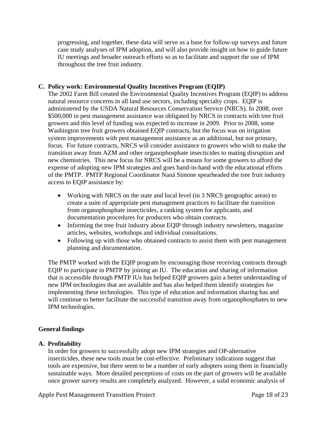progressing, and together, these data will serve as a base for follow-up surveys and future case study analyses of IPM adoption, and will also provide insight on how to guide future IU meetings and broader outreach efforts so as to facilitate and support the use of IPM throughout the tree fruit industry.

# **C. Policy work: Environmental Quality Incentives Program (EQIP)**

The 2002 Farm Bill created the Environmental Quality Incentives Program (EQIP) to address natural resource concerns in all land use sectors, including specialty crops. EQIP is administered by the USDA Natural Resources Conservation Service (NRCS). In 2008, over \$500,000 in pest management assistance was obligated by NRCS in contracts with tree fruit growers and this level of funding was expected to increase in 2009. Prior to 2008, some Washington tree fruit growers obtained EQIP contracts, but the focus was on irrigation system improvements with pest management assistance as an additional, but not primary, focus. For future contracts, NRCS will consider assistance to growers who wish to make the transition away from AZM and other organophosphate insecticides to mating disruption and new chemistries. This new focus for NRCS will be a means for some growers to afford the expense of adopting new IPM strategies and goes hand-in-hand with the educational efforts of the PMTP. PMTP Regional Coordinator Naná Simone spearheaded the tree fruit industry access to EQIP assistance by:

- Working with NRCS on the state and local level (in 3 NRCS geographic areas) to create a suite of appropriate pest management practices to facilitate the transition from organophosphate insecticides, a ranking system for applicants, and documentation procedures for producers who obtain contracts.
- Informing the tree fruit industry about EQIP through industry newsletters, magazine articles, websites, workshops and individual consultations.
- Following up with those who obtained contracts to assist them with pest management planning and documentation.

The PMTP worked with the EQIP program by encouraging those receiving contracts through EQIP to participate in PMTP by joining an IU. The education and sharing of information that is accessible through PMTP IUs has helped EQIP growers gain a better understanding of new IPM technologies that are available and has also helped them identify strategies for implementing these technologies. This type of education and information sharing has and will continue to better facilitate the successful transition away from organophosphates to new IPM technologies.

# **General findings**

# **A. Profitability**

In order for growers to successfully adopt new IPM strategies and OP-alternative insecticides, these new tools must be cost-effective. Preliminary indications suggest that tools are expensive, but there seem to be a number of early adopters using them in financially sustainable ways. More detailed perceptions of costs on the part of growers will be available once grower survey results are completely analyzed. However, a solid economic analysis of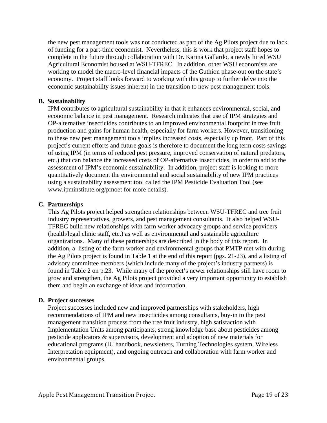the new pest management tools was not conducted as part of the Ag Pilots project due to lack of funding for a part-time economist. Nevertheless, this is work that project staff hopes to complete in the future through collaboration with Dr. Karina Gallardo, a newly hired WSU Agricultural Economist housed at WSU-TFREC. In addition, other WSU economists are working to model the macro-level financial impacts of the Guthion phase-out on the state's economy. Project staff looks forward to working with this group to further delve into the economic sustainability issues inherent in the transition to new pest management tools.

# **B. Sustainability**

IPM contributes to agricultural sustainability in that it enhances environmental, social, and economic balance in pest management. Research indicates that use of IPM strategies and OP-alternative insecticides contributes to an improved environmental footprint in tree fruit production and gains for human health, especially for farm workers. However, transitioning to these new pest management tools implies increased costs, especially up front. Part of this project's current efforts and future goals is therefore to document the long term costs savings of using IPM (in terms of reduced pest pressure, improved conservation of natural predators, etc.) that can balance the increased costs of OP-alternative insecticides, in order to add to the assessment of IPM's economic sustainability. In addition, project staff is looking to more quantitatively document the environmental and social sustainability of new IPM practices using a sustainability assessment tool called the IPM Pesticide Evaluation Tool (see www.ipminstitute.org/pmoet for more details).

# **C. Partnerships**

This Ag Pilots project helped strengthen relationships between WSU-TFREC and tree fruit industry representatives, growers, and pest management consultants. It also helped WSU-TFREC build new relationships with farm worker advocacy groups and service providers (health/legal clinic staff, etc.) as well as environmental and sustainable agriculture organizations. Many of these partnerships are described in the body of this report. In addition, a listing of the farm worker and environmental groups that PMTP met with during the Ag Pilots project is found in Table 1 at the end of this report (pgs. 21-23), and a listing of advisory committee members (which include many of the project's industry partners) is found in Table 2 on p.23. While many of the project's newer relationships still have room to grow and strengthen, the Ag Pilots project provided a very important opportunity to establish them and begin an exchange of ideas and information.

# **D. Project successes**

Project successes included new and improved partnerships with stakeholders, high recommendations of IPM and new insecticides among consultants, buy-in to the pest management transition process from the tree fruit industry, high satisfaction with Implementation Units among participants, strong knowledge base about pesticides among pesticide applicators & supervisors, development and adoption of new materials for educational programs (IU handbook, newsletters, Turning Technologies system, Wireless Interpretation equipment), and ongoing outreach and collaboration with farm worker and environmental groups.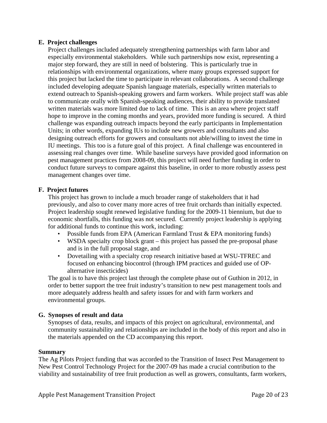# **E. Project challenges**

Project challenges included adequately strengthening partnerships with farm labor and especially environmental stakeholders. While such partnerships now exist, representing a major step forward, they are still in need of bolstering. This is particularly true in relationships with environmental organizations, where many groups expressed support for this project but lacked the time to participate in relevant collaborations. A second challenge included developing adequate Spanish language materials, especially written materials to extend outreach to Spanish-speaking growers and farm workers. While project staff was able to communicate orally with Spanish-speaking audiences, their ability to provide translated written materials was more limited due to lack of time. This is an area where project staff hope to improve in the coming months and years, provided more funding is secured. A third challenge was expanding outreach impacts beyond the early participants in Implementation Units; in other words, expanding IUs to include new growers and consultants and also designing outreach efforts for growers and consultants not able/willing to invest the time in IU meetings. This too is a future goal of this project. A final challenge was encountered in assessing real changes over time. While baseline surveys have provided good information on pest management practices from 2008-09, this project will need further funding in order to conduct future surveys to compare against this baseline, in order to more robustly assess pest management changes over time.

# **F. Project futures**

This project has grown to include a much broader range of stakeholders that it had previously, and also to cover many more acres of tree fruit orchards than initially expected. Project leadership sought renewed legislative funding for the 2009-11 biennium, but due to economic shortfalls, this funding was not secured. Currently project leadership is applying for additional funds to continue this work, including:

- Possible funds from EPA (American Farmland Trust & EPA monitoring funds)
- WSDA specialty crop block grant this project has passed the pre-proposal phase and is in the full proposal stage, and
- Dovetailing with a specialty crop research initiative based at WSU-TFREC and focused on enhancing biocontrol (through IPM practices and guided use of OPalternative insecticides)

The goal is to have this project last through the complete phase out of Guthion in 2012, in order to better support the tree fruit industry's transition to new pest management tools and more adequately address health and safety issues for and with farm workers and environmental groups.

# **G. Synopses of result and data**

Synopses of data, results, and impacts of this project on agricultural, environmental, and community sustainability and relationships are included in the body of this report and also in the materials appended on the CD accompanying this report.

# **Summary**

The Ag Pilots Project funding that was accorded to the Transition of Insect Pest Management to New Pest Control Technology Project for the 2007-09 has made a crucial contribution to the viability and sustainability of tree fruit production as well as growers, consultants, farm workers,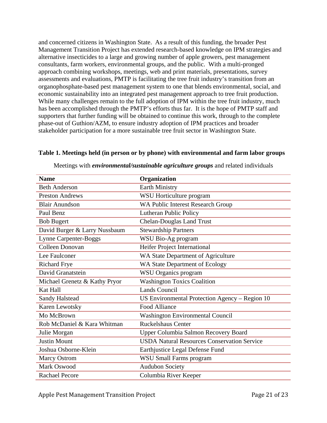and concerned citizens in Washington State. As a result of this funding, the broader Pest Management Transition Project has extended research-based knowledge on IPM strategies and alternative insecticides to a large and growing number of apple growers, pest management consultants, farm workers, environmental groups, and the public. With a multi-pronged approach combining workshops, meetings, web and print materials, presentations, survey assessments and evaluations, PMTP is facilitating the tree fruit industry's transition from an organophosphate-based pest management system to one that blends environmental, social, and economic sustainability into an integrated pest management approach to tree fruit production. While many challenges remain to the full adoption of IPM within the tree fruit industry, much has been accomplished through the PMTP's efforts thus far. It is the hope of PMTP staff and supporters that further funding will be obtained to continue this work, through to the complete phase-out of Guthion/AZM, to ensure industry adoption of IPM practices and broader stakeholder participation for a more sustainable tree fruit sector in Washington State.

| <b>Name</b>                   | Organization                                       |  |
|-------------------------------|----------------------------------------------------|--|
| <b>Beth Anderson</b>          | <b>Earth Ministry</b>                              |  |
| <b>Preston Andrews</b>        | WSU Horticulture program                           |  |
| <b>Blair Anundson</b>         | <b>WA Public Interest Research Group</b>           |  |
| Paul Benz                     | Lutheran Public Policy                             |  |
| <b>Bob Bugert</b>             | <b>Chelan-Douglas Land Trust</b>                   |  |
| David Burger & Larry Nussbaum | <b>Stewardship Partners</b>                        |  |
| <b>Lynne Carpenter-Boggs</b>  | WSU Bio-Ag program                                 |  |
| <b>Colleen Donovan</b>        | Heifer Project International                       |  |
| Lee Faulconer                 | WA State Department of Agriculture                 |  |
| <b>Richard Frye</b>           | WA State Department of Ecology                     |  |
| David Granatstein             | <b>WSU</b> Organics program                        |  |
| Michael Grenetz & Kathy Pryor | <b>Washington Toxics Coalition</b>                 |  |
| <b>Kat Hall</b>               | <b>Lands Council</b>                               |  |
| Sandy Halstead                | US Environmental Protection Agency – Region 10     |  |
| Karen Lewotsky                | <b>Food Alliance</b>                               |  |
| Mo McBrown                    | <b>Washington Environmental Council</b>            |  |
| Rob McDaniel & Kara Whitman   | <b>Ruckelshaus Center</b>                          |  |
| Julie Morgan                  | <b>Upper Columbia Salmon Recovery Board</b>        |  |
| <b>Justin Mount</b>           | <b>USDA Natural Resources Conservation Service</b> |  |
| Joshua Osborne-Klein          | Earthjustice Legal Defense Fund                    |  |
| <b>Marcy Ostrom</b>           | WSU Small Farms program                            |  |
| <b>Mark Oswood</b>            | <b>Audubon Society</b>                             |  |
| <b>Rachael Pecore</b>         | Columbia River Keeper                              |  |

#### **Table 1. Meetings held (in person or by phone) with environmental and farm labor groups**

Meetings with *environmental/sustainable agriculture groups* and related individuals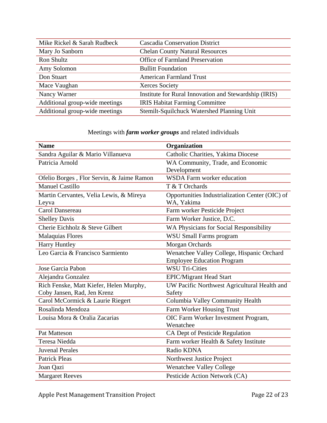| Mike Rickel & Sarah Rudbeck    | <b>Cascadia Conservation District</b>                 |  |
|--------------------------------|-------------------------------------------------------|--|
| Mary Jo Sanborn                | <b>Chelan County Natural Resources</b>                |  |
| Ron Shultz                     | <b>Office of Farmland Preservation</b>                |  |
| Amy Solomon                    | <b>Bullitt Foundation</b>                             |  |
| Don Stuart                     | <b>American Farmland Trust</b>                        |  |
| Mace Vaughan                   | Xerces Society                                        |  |
| Nancy Warner                   | Institute for Rural Innovation and Stewardship (IRIS) |  |
| Additional group-wide meetings | <b>IRIS Habitat Farming Committee</b>                 |  |
| Additional group-wide meetings | Stemilt-Squilchuck Watershed Planning Unit            |  |

# Meetings with *farm worker groups* and related individuals

| <b>Name</b>                                                          | Organization                                    |  |
|----------------------------------------------------------------------|-------------------------------------------------|--|
| Sandra Aguilar & Mario Villanueva                                    | Catholic Charities, Yakima Diocese              |  |
| Patricia Arnold                                                      | WA Community, Trade, and Economic               |  |
|                                                                      | Development                                     |  |
| Ofelio Borges, Flor Servin, & Jaime Ramon                            | <b>WSDA Farm worker education</b>               |  |
| <b>Manuel Castillo</b>                                               | T & T Orchards                                  |  |
| Martin Cervantes, Velia Lewis, & Mireya                              | Opportunities Industrialization Center (OIC) of |  |
| Leyva                                                                | WA, Yakima                                      |  |
| Carol Dansereau                                                      | Farm worker Pesticide Project                   |  |
| <b>Shelley Davis</b>                                                 | Farm Worker Justice, D.C.                       |  |
| Cherie Eichholz & Steve Gilbert                                      | WA Physicians for Social Responsibility         |  |
| <b>Malaquias Flores</b>                                              | <b>WSU Small Farms program</b>                  |  |
| Harry Huntley                                                        | <b>Morgan Orchards</b>                          |  |
| Leo Garcia & Francisco Sarmiento                                     | Wenatchee Valley College, Hispanic Orchard      |  |
|                                                                      | <b>Employee Education Program</b>               |  |
| Jose Garcia Pabon                                                    | <b>WSU Tri-Cities</b>                           |  |
| Alejandra Gonzalez                                                   | <b>EPIC/Migrant Head Start</b>                  |  |
| Rich Fenske, Matt Kiefer, Helen Murphy,                              | UW Pacific Northwest Agricultural Health and    |  |
| Coby Jansen, Rad, Jen Krenz                                          | Safety                                          |  |
| Columbia Valley Community Health<br>Carol McCormick & Laurie Riegert |                                                 |  |
| Rosalinda Mendoza                                                    | Farm Worker Housing Trust                       |  |
| Louisa Mora & Oralia Zacarias                                        | OIC Farm Worker Investment Program,             |  |
|                                                                      | Wenatchee                                       |  |
| <b>Pat Matteson</b>                                                  | CA Dept of Pesticide Regulation                 |  |
| Teresa Niedda                                                        | Farm worker Health & Safety Institute           |  |
| <b>Juvenal Perales</b>                                               | Radio KDNA                                      |  |
| <b>Patrick Pleas</b>                                                 | Northwest Justice Project                       |  |
| Joan Qazi                                                            | Wenatchee Valley College                        |  |
| <b>Margaret Reeves</b>                                               | Pesticide Action Network (CA)                   |  |